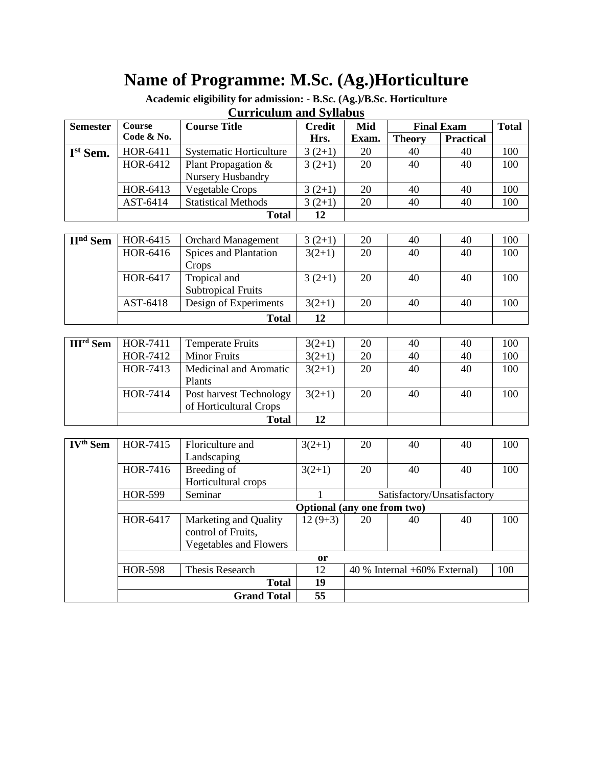# **Name of Programme: M.Sc. (Ag.)Horticulture**

**Academic eligibility for admission: - B.Sc. (Ag.)/B.Sc. Horticulture**

## **Curriculum and Syllabus**

| <b>Semester</b>             | Course         | <b>Course Title</b>            | <b>Credit</b>   | Mid                                 | <b>Final Exam</b> |                             | <b>Total</b> |
|-----------------------------|----------------|--------------------------------|-----------------|-------------------------------------|-------------------|-----------------------------|--------------|
|                             | Code & No.     |                                | Hrs.            | Exam.                               | <b>Theory</b>     | <b>Practical</b>            |              |
| Ist Sem.                    | HOR-6411       | <b>Systematic Horticulture</b> | $3(2+1)$        | 20                                  | 40                | 40                          | 100          |
|                             | HOR-6412       | Plant Propagation &            | $3(2+1)$        | 20                                  | 40                | 40                          | 100          |
|                             |                | Nursery Husbandry              |                 |                                     |                   |                             |              |
|                             | HOR-6413       | <b>Vegetable Crops</b>         | $3(2+1)$        | 20                                  | 40                | 40                          | 100          |
|                             | AST-6414       | <b>Statistical Methods</b>     | $3(2+1)$        | 20                                  | 40                | 40                          | 100          |
|                             |                | <b>Total</b>                   | 12              |                                     |                   |                             |              |
|                             |                |                                |                 |                                     |                   |                             |              |
| <b>H</b> <sup>nd</sup> Sem  | HOR-6415       | <b>Orchard Management</b>      | $3(2+1)$        | 20                                  | 40                | 40                          | 100          |
|                             | HOR-6416       | Spices and Plantation          | $3(2+1)$        | 20                                  | 40                | 40                          | 100          |
|                             |                | Crops                          |                 |                                     |                   |                             |              |
|                             | HOR-6417       | Tropical and                   | $3(2+1)$        | 20                                  | 40                | 40                          | 100          |
|                             |                | <b>Subtropical Fruits</b>      |                 |                                     |                   |                             |              |
|                             | AST-6418       | Design of Experiments          | $3(2+1)$        | 20                                  | 40                | 40                          | 100          |
|                             |                | <b>Total</b>                   | 12              |                                     |                   |                             |              |
|                             |                |                                |                 |                                     |                   |                             |              |
| <b>III<sup>rd</sup></b> Sem | HOR-7411       | <b>Temperate Fruits</b>        | $3(2+1)$        | 20                                  | 40                | 40                          | 100          |
|                             | HOR-7412       | <b>Minor Fruits</b>            | $3(2+1)$        | 20                                  | 40                | 40                          | 100          |
|                             | HOR-7413       | Medicinal and Aromatic         | $3(2+1)$        | 20                                  | 40                | 40                          | 100          |
|                             |                | Plants                         |                 |                                     |                   |                             |              |
|                             | HOR-7414       | Post harvest Technology        | $3(2+1)$        | 20                                  | 40                | 40                          | 100          |
|                             |                | of Horticultural Crops         |                 |                                     |                   |                             |              |
|                             |                | <b>Total</b>                   | 12              |                                     |                   |                             |              |
|                             |                |                                |                 |                                     |                   |                             |              |
| $\overline{IV^{th}}$ Sem    | HOR-7415       | Floriculture and               | $3(2+1)$        | 20                                  | 40                | 40                          | 100          |
|                             |                | Landscaping                    |                 |                                     |                   |                             |              |
|                             | HOR-7416       | Breeding of                    | $3(2+1)$        | 20                                  | 40                | 40                          | 100          |
|                             |                | Horticultural crops            |                 |                                     |                   |                             |              |
|                             | <b>HOR-599</b> | Seminar                        | $\mathbf{1}$    |                                     |                   | Satisfactory/Unsatisfactory |              |
|                             |                |                                |                 | Optional (any one from two)         |                   |                             |              |
|                             | HOR-6417       | Marketing and Quality          | $12(9+3)$       | 20                                  | 40                | 40                          | 100          |
|                             |                | control of Fruits,             |                 |                                     |                   |                             |              |
|                             |                | <b>Vegetables and Flowers</b>  |                 |                                     |                   |                             |              |
|                             |                |                                | or              |                                     |                   |                             |              |
|                             | <b>HOR-598</b> | <b>Thesis Research</b>         | $\overline{12}$ | 40 % Internal +60% External)<br>100 |                   |                             |              |
|                             |                | <b>Total</b>                   | 19              |                                     |                   |                             |              |
|                             |                | <b>Grand Total</b>             | $\overline{55}$ |                                     |                   |                             |              |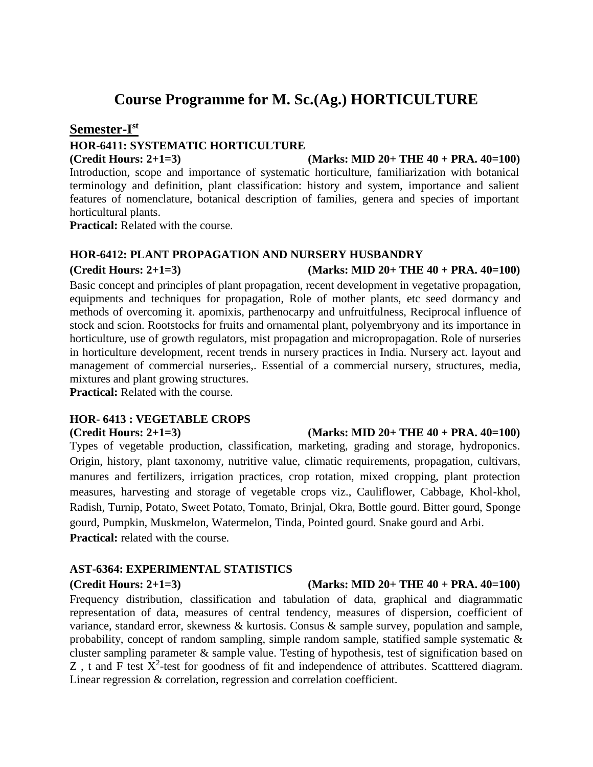## **Course Programme for M. Sc.(Ag.) HORTICULTURE**

## **Semester-I st**

## **HOR-6411: SYSTEMATIC HORTICULTURE**

**(Credit Hours: 2+1=3) (Marks: MID 20+ THE 40 + PRA. 40=100)** Introduction, scope and importance of systematic horticulture, familiarization with botanical terminology and definition, plant classification: history and system, importance and salient features of nomenclature, botanical description of families, genera and species of important horticultural plants.

**Practical:** Related with the course.

## **HOR-6412: PLANT PROPAGATION AND NURSERY HUSBANDRY**

### **(Credit Hours: 2+1=3) (Marks: MID 20+ THE 40 + PRA. 40=100)**

Basic concept and principles of plant propagation, recent development in vegetative propagation, equipments and techniques for propagation, Role of mother plants, etc seed dormancy and methods of overcoming it. apomixis, parthenocarpy and unfruitfulness, Reciprocal influence of stock and scion. Rootstocks for fruits and ornamental plant, polyembryony and its importance in horticulture, use of growth regulators, mist propagation and micropropagation. Role of nurseries in horticulture development, recent trends in nursery practices in India. Nursery act. layout and management of commercial nurseries,. Essential of a commercial nursery, structures, media,

mixtures and plant growing structures. **Practical:** Related with the course.

## **HOR- 6413 : VEGETABLE CROPS**

## **(Credit Hours: 2+1=3) (Marks: MID 20+ THE 40 + PRA. 40=100)**

Types of vegetable production, classification, marketing, grading and storage, hydroponics. Origin, history, plant taxonomy, nutritive value, climatic requirements, propagation, cultivars, manures and fertilizers, irrigation practices, crop rotation, mixed cropping, plant protection measures, harvesting and storage of vegetable crops viz., Cauliflower, Cabbage, Khol-khol, Radish, Turnip, Potato, Sweet Potato, Tomato, Brinjal, Okra, Bottle gourd. Bitter gourd, Sponge gourd, Pumpkin, Muskmelon, Watermelon, Tinda, Pointed gourd. Snake gourd and Arbi. **Practical:** related with the course.

## **AST-6364: EXPERIMENTAL STATISTICS**

## **(Credit Hours: 2+1=3) (Marks: MID 20+ THE 40 + PRA. 40=100)**

Frequency distribution, classification and tabulation of data, graphical and diagrammatic representation of data, measures of central tendency, measures of dispersion, coefficient of variance, standard error, skewness & kurtosis. Consus & sample survey, population and sample, probability, concept of random sampling, simple random sample, statified sample systematic & cluster sampling parameter & sample value. Testing of hypothesis, test of signification based on Z, t and F test  $X^2$ -test for goodness of fit and independence of attributes. Scatttered diagram. Linear regression & correlation, regression and correlation coefficient.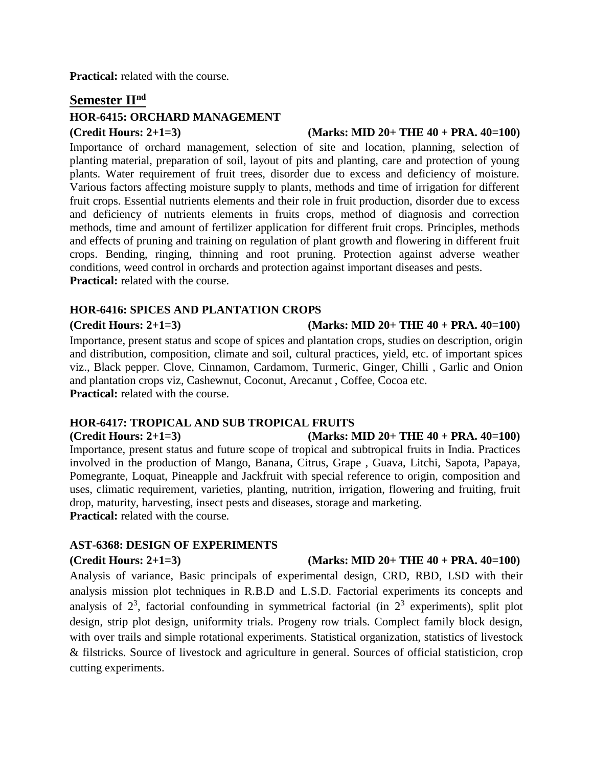**Practical:** related with the course.

## **Semester IInd**

## **HOR-6415: ORCHARD MANAGEMENT**

### **(Credit Hours: 2+1=3) (Marks: MID 20+ THE 40 + PRA. 40=100)**

Importance of orchard management, selection of site and location, planning, selection of planting material, preparation of soil, layout of pits and planting, care and protection of young plants. Water requirement of fruit trees, disorder due to excess and deficiency of moisture. Various factors affecting moisture supply to plants, methods and time of irrigation for different fruit crops. Essential nutrients elements and their role in fruit production, disorder due to excess and deficiency of nutrients elements in fruits crops, method of diagnosis and correction methods, time and amount of fertilizer application for different fruit crops. Principles, methods and effects of pruning and training on regulation of plant growth and flowering in different fruit crops. Bending, ringing, thinning and root pruning. Protection against adverse weather conditions, weed control in orchards and protection against important diseases and pests. **Practical:** related with the course.

## **HOR-6416: SPICES AND PLANTATION CROPS**

### **(Credit Hours: 2+1=3) (Marks: MID 20+ THE 40 + PRA. 40=100)**

Importance, present status and scope of spices and plantation crops, studies on description, origin and distribution, composition, climate and soil, cultural practices, yield, etc. of important spices viz., Black pepper. Clove, Cinnamon, Cardamom, Turmeric, Ginger, Chilli , Garlic and Onion and plantation crops viz, Cashewnut, Coconut, Arecanut , Coffee, Cocoa etc. **Practical:** related with the course.

## **HOR-6417: TROPICAL AND SUB TROPICAL FRUITS**

### **(Credit Hours: 2+1=3) (Marks: MID 20+ THE 40 + PRA. 40=100)**

Importance, present status and future scope of tropical and subtropical fruits in India. Practices involved in the production of Mango, Banana, Citrus, Grape , Guava, Litchi, Sapota, Papaya, Pomegrante, Loquat, Pineapple and Jackfruit with special reference to origin, composition and uses, climatic requirement, varieties, planting, nutrition, irrigation, flowering and fruiting, fruit drop, maturity, harvesting, insect pests and diseases, storage and marketing. **Practical:** related with the course.

## **AST-6368: DESIGN OF EXPERIMENTS**

Analysis of variance, Basic principals of experimental design, CRD, RBD, LSD with their analysis mission plot techniques in R.B.D and L.S.D. Factorial experiments its concepts and analysis of  $2^3$ , factorial confounding in symmetrical factorial (in  $2^3$  experiments), split plot design, strip plot design, uniformity trials. Progeny row trials. Complect family block design, with over trails and simple rotational experiments. Statistical organization, statistics of livestock & filstricks. Source of livestock and agriculture in general. Sources of official statisticion, crop cutting experiments.

## **(Credit Hours: 2+1=3) (Marks: MID 20+ THE 40 + PRA. 40=100)**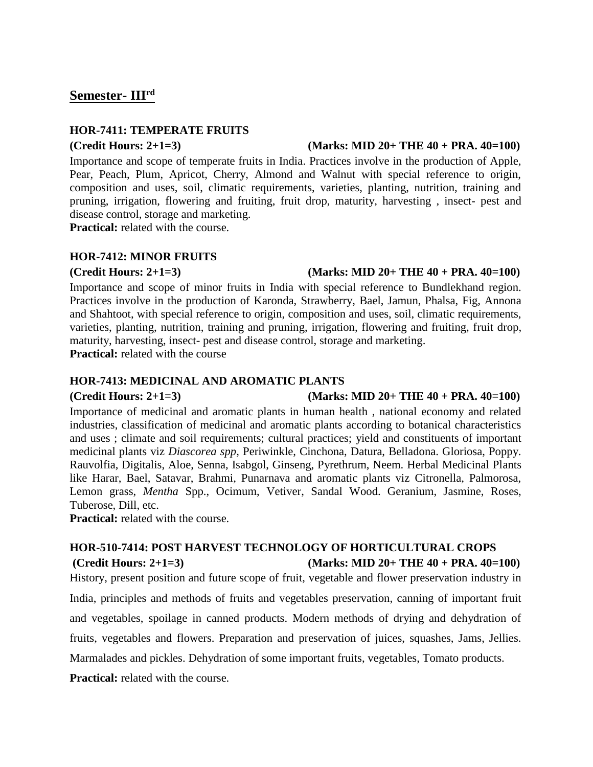## **Semester- IIIrd**

## **HOR-7411: TEMPERATE FRUITS**

## **(Credit Hours: 2+1=3) (Marks: MID 20+ THE 40 + PRA. 40=100)**

Importance and scope of temperate fruits in India. Practices involve in the production of Apple, Pear, Peach, Plum, Apricot, Cherry, Almond and Walnut with special reference to origin, composition and uses, soil, climatic requirements, varieties, planting, nutrition, training and pruning, irrigation, flowering and fruiting, fruit drop, maturity, harvesting , insect- pest and disease control, storage and marketing.

**Practical:** related with the course.

## **HOR-7412: MINOR FRUITS**

## **(Credit Hours: 2+1=3) (Marks: MID 20+ THE 40 + PRA. 40=100)**

Importance and scope of minor fruits in India with special reference to Bundlekhand region. Practices involve in the production of Karonda, Strawberry, Bael, Jamun, Phalsa, Fig, Annona and Shahtoot, with special reference to origin, composition and uses, soil, climatic requirements, varieties, planting, nutrition, training and pruning, irrigation, flowering and fruiting, fruit drop, maturity, harvesting, insect- pest and disease control, storage and marketing. **Practical:** related with the course

## **HOR-7413: MEDICINAL AND AROMATIC PLANTS**

## **(Credit Hours: 2+1=3) (Marks: MID 20+ THE 40 + PRA. 40=100)**

Importance of medicinal and aromatic plants in human health , national economy and related industries, classification of medicinal and aromatic plants according to botanical characteristics and uses ; climate and soil requirements; cultural practices; yield and constituents of important medicinal plants viz *Diascorea spp,* Periwinkle, Cinchona, Datura, Belladona. Gloriosa, Poppy. Rauvolfia, Digitalis, Aloe, Senna, Isabgol, Ginseng, Pyrethrum, Neem. Herbal Medicinal Plants like Harar, Bael, Satavar, Brahmi, Punarnava and aromatic plants viz Citronella, Palmorosa, Lemon grass, *Mentha* Spp., Ocimum, Vetiver, Sandal Wood. Geranium, Jasmine, Roses, Tuberose, Dill, etc.

**Practical:** related with the course.

## **HOR-510-7414: POST HARVEST TECHNOLOGY OF HORTICULTURAL CROPS (Credit Hours: 2+1=3) (Marks: MID 20+ THE 40 + PRA. 40=100)**

History, present position and future scope of fruit, vegetable and flower preservation industry in India, principles and methods of fruits and vegetables preservation, canning of important fruit and vegetables, spoilage in canned products. Modern methods of drying and dehydration of fruits, vegetables and flowers. Preparation and preservation of juices, squashes, Jams, Jellies. Marmalades and pickles. Dehydration of some important fruits, vegetables, Tomato products.

**Practical:** related with the course.